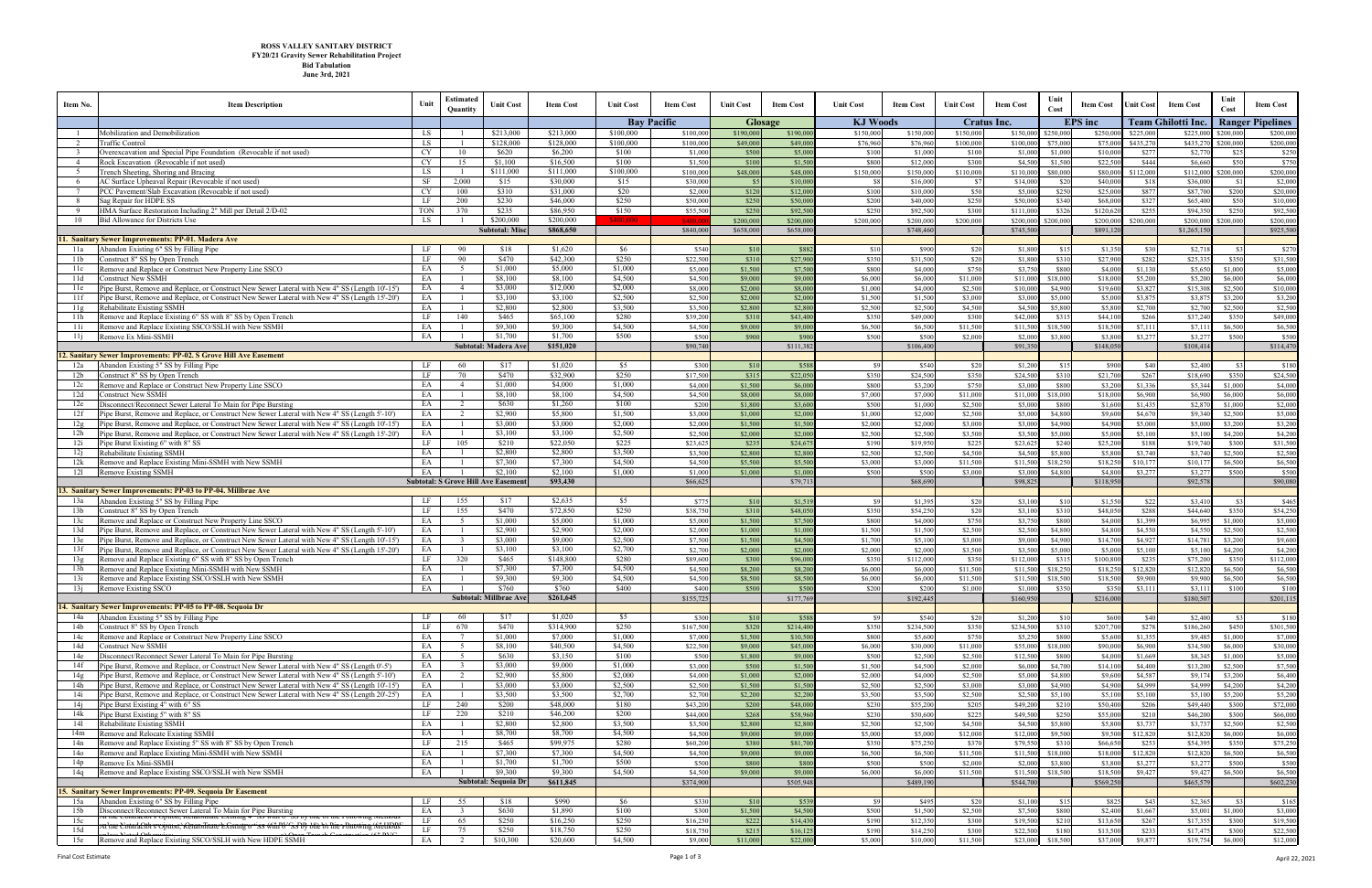| Item No.             | <b>Item Description</b>                                                                                                                                                                              | Unit       | Estimated<br><b>Quantity</b>     | Unit Cost                                  | <b>Item Cost</b>     | <b>Unit Cost</b>   | <b>Item Cost</b>     | <b>Unit Cost</b>   | <b>Item Cost</b>     | <b>Unit Cost</b>   | <b>Item Cost</b>     | <b>Unit Cost</b>   | <b>Item Cost</b>     | Unit<br>Cost        | <b>Item Cost</b>    | Jnit Cost          | <b>Item Cost</b>     | Unit<br>Cost       | <b>Item Cost</b>                |
|----------------------|------------------------------------------------------------------------------------------------------------------------------------------------------------------------------------------------------|------------|----------------------------------|--------------------------------------------|----------------------|--------------------|----------------------|--------------------|----------------------|--------------------|----------------------|--------------------|----------------------|---------------------|---------------------|--------------------|----------------------|--------------------|---------------------------------|
|                      |                                                                                                                                                                                                      |            |                                  |                                            |                      |                    | <b>Bay Pacific</b>   |                    | <b>Glosage</b>       | <b>KJ Woods</b>    |                      |                    | Cratus Inc.          |                     | <b>EPS</b> inc      |                    | Team Ghilotti Inc.   |                    | <b>Ranger Pipelines</b>         |
| $\blacksquare$       | Mobilization and Demobilization                                                                                                                                                                      | LS         |                                  | \$213,000                                  | \$213,000            | \$100,000          | \$100,000            | \$190,000          | \$190,000            | \$150,000          | \$150,000            | \$150,000          | \$150,000            | \$250,000           | \$250,00            | \$225,000          | \$225,00             | \$200,000          | \$200,000                       |
| 2<br>-3              | <b>Traffic Control</b><br>Overexcavation and Special Pipe Foundation (Revocable if not used)                                                                                                         | LS<br>CY   | 10                               | \$128,000<br>\$620                         | \$128,000<br>\$6,200 | \$100,000<br>\$100 | \$100,000<br>\$1,000 | \$49,000<br>\$500  | \$49,000<br>\$5,00   | \$76,960<br>\$100  | \$76,960<br>\$1,000  | \$100,000<br>\$100 | \$100,000<br>\$1,000 | \$75,000<br>\$1,000 | \$75,00<br>\$10,00  | \$435,270<br>\$277 | \$435,27<br>\$2,77   | \$200,000<br>\$25  | \$200,000<br>\$250              |
| $\overline{4}$       | Rock Excavation (Revocable if not used)                                                                                                                                                              | CY         | 15                               | \$1,100                                    | \$16,500             | \$100              | \$1,500              | \$100              | \$1,50               | \$800              | \$12,000             | \$300              | \$4,50               | \$1,500             | \$22.50             | \$444              | \$6,660              | \$50               | \$750                           |
| 5                    | French Sheeting, Shoring and Bracing                                                                                                                                                                 | LS         |                                  | \$111,000                                  | \$111,000            | \$100,000          | \$100,000            | \$48,000           | \$48,00              | \$150,000          | \$150,000            | \$110,000          | \$110,00             | \$80,000            | \$80.00             | \$112,000          | \$112,000            | \$200,000          | \$200,000                       |
| -6                   | AC Surface Upheaval Repair (Revocable if not used)                                                                                                                                                   | SF         | 2,000                            | \$15                                       | \$30,000             | \$15               | \$30,000             | \$5                | \$10,00              | <b>S8</b>          | \$16,000             | \$7                | \$14,00              | \$2                 | \$40,00             | \$18               | \$36,000             | \$1                | \$2,000                         |
| $7\overline{ }$<br>8 | PCC Pavement/Slab Excavation (Revocable if not used)<br>Sag Repair for HDPE SS                                                                                                                       | CY<br>LF   | 100<br>200                       | \$310<br>\$230                             | \$31,000<br>\$46,000 | \$20<br>\$250      | \$2,000<br>\$50,000  | \$120<br>\$250     | \$12,00<br>\$50,000  | \$100<br>\$200     | \$10,000<br>\$40,000 | \$50<br>\$250      | \$5,00<br>\$50,000   | \$25<br>\$340       | \$25,00<br>\$68.00  | \$877<br>\$327     | \$87,700<br>\$65,400 | \$200<br>\$50      | \$20,000<br>\$10,000            |
| -9                   | HMA Surface Restoration Including 2" Mill per Detail 2/D-02                                                                                                                                          | <b>TON</b> | 370                              | \$235                                      | \$86,950             | \$150              | \$55,500             | \$250              | \$92,50              | \$250              | \$92,500             | \$300              | \$111,000            | \$320               | \$120.62            | \$255              | \$94,35              | \$250              | \$92,500                        |
| 10                   | Bid Allowance for Districts Use                                                                                                                                                                      | <b>LS</b>  |                                  | \$200,000                                  | \$200,000            | \$400,000          | \$400.0              | \$200,000          | \$200,000            | \$200,000          | \$200,000            | \$200,000          | \$200,000            | \$200,000           | \$200,000           | \$200,000          | \$200,000            | \$200,000          | \$200,000                       |
|                      |                                                                                                                                                                                                      |            |                                  | <b>Subtotal: Misc</b>                      | \$868,650            |                    | \$840,000            | \$658,000          | \$658,000            |                    | \$748,460            |                    | \$745,50             |                     | \$891,12            |                    | \$1,265,150          |                    | \$925,500                       |
| 11a                  | <b>Sanitary Sewer Improvements: PP-01. Madera Ave</b><br>Abandon Existing 6" SS by Filling Pipe                                                                                                      | LF         | 90                               | \$18                                       | \$1,620              | \$6                | \$540                | \$10               | \$882                | \$10               | \$900                | \$20               | \$1,800              | \$1                 | \$1,35              | \$30               | \$2,718              | \$3                | \$270                           |
| 11 <sub>b</sub>      | Construct 8" SS by Open Trench                                                                                                                                                                       | LF         | 90                               | \$470                                      | \$42,300             | \$250              | \$22,500             | \$310              | \$27,90              | \$350              | \$31,500             | \$20               | \$1,80               | \$31                | \$27,90             | \$282              | \$25,335             | \$350              | \$31,500                        |
| 11c                  | Remove and Replace or Construct New Property Line SSCO                                                                                                                                               | EA         | 5                                | \$1,000                                    | \$5,000              | \$1,000            | \$5,000              | \$1,500            | \$7,500              | \$800              | \$4,000              | \$750              | \$3,75               | \$800               | \$4,00              | \$1,130            | \$5,650              | \$1,000            | \$5,000                         |
| 11d                  | Construct New SSMH                                                                                                                                                                                   | EA         | $\overline{1}$                   | \$8,100                                    | \$8,100              | \$4,500            | \$4,500              | \$9,000            | \$9,00               | \$6,000            | \$6,000              | \$11,000           | \$11,00              | \$18,000            | \$18,00             | \$5,200            | \$5,200              | \$6,000            | \$6,000                         |
| 11e<br>11f           | Pipe Burst, Remove and Replace, or Construct New Sewer Lateral with New 4" SS (Length 10'-15')<br>Pipe Burst, Remove and Replace, or Construct New Sewer Lateral with New 4" SS (Length 15'-20')     | EA<br>EA   | $\overline{4}$<br>$\overline{1}$ | \$3,000<br>\$3,100                         | \$12,000<br>\$3,100  | \$2,000<br>\$2,500 | \$8,000<br>\$2,500   | \$2,000<br>\$2,000 | \$8,00<br>\$2,000    | \$1,000<br>\$1,500 | \$4,000<br>\$1,500   | \$2,500<br>\$3,000 | \$10,00<br>\$3,000   | \$4,900<br>\$5,000  | \$19,60<br>\$5,00   | \$3,827<br>\$3,875 | \$15,30<br>\$3,87    | \$2,500<br>\$3,200 | \$10,000<br>\$3,200             |
| 11g                  | Rehabilitate Existing SSMH                                                                                                                                                                           | EA         | - 1                              | \$2,800                                    | \$2,800              | \$3,500            | \$3,500              | \$2,800            | \$2,800              | \$2,500            | \$2,500              | \$4,500            | \$4,500              | \$5,800             | \$5,800             | \$2,700            | \$2,700              | \$2,500            | \$2,500                         |
| 11h                  | Remove and Replace Existing 6" SS with 8" SS by Open Trench                                                                                                                                          | LF         | 140                              | \$465                                      | \$65,100             | \$280              | \$39.20              | \$310              | \$43,40              | \$350              | \$49,000             | \$300              | \$42,00              | \$31:               | \$44,10             | \$266              | \$37,240             | \$350              | \$49,000                        |
| 11i                  | Remove and Replace Existing SSCO/SSLH with New SSMH                                                                                                                                                  | EA         |                                  | \$9,300                                    | \$9,300              | \$4,500            | \$4,500              | \$9,000            | \$9,000              | \$6,500            | \$6,500              | \$11.500           | \$11.50              | \$18,500            | \$18.50             | \$7,111            | \$7.11               | \$6.500            | \$6,500                         |
| 11i                  | Remove Ex Mini-SSMH                                                                                                                                                                                  | EA         |                                  | \$1,700<br><b>Subtotal: Madera Ave</b>     | \$1,700<br>\$151,020 | \$500              | \$500<br>\$90,740    | \$900              | \$90<br>\$111,382    | \$500              | \$500<br>\$106,400   | \$2,000            | \$2,00<br>\$91,35    | \$3,800             | \$3,80<br>\$148.05  | \$3,277            | \$3,27<br>\$108,414  | \$500              | \$500<br>\$114,470              |
|                      | . Sanitary Sewer Improvements: PP-02. S Grove Hill Ave Easement                                                                                                                                      |            |                                  |                                            |                      |                    |                      |                    |                      |                    |                      |                    |                      |                     |                     |                    |                      |                    |                                 |
| 12a                  | Abandon Existing 5" SS by Filling Pipe                                                                                                                                                               | LF         | 60                               | \$17                                       | \$1,020              | S <sub>5</sub>     | \$300                | \$10               | \$58                 | - \$9              | \$540                | \$20               | \$1,20               | S1:                 | \$900               | \$40               | \$2,400              | - \$31             | \$180                           |
| 12 <sub>b</sub>      | Construct 8" SS by Open Trench                                                                                                                                                                       | LF         | 70                               | \$470                                      | \$32,900             | \$250              | \$17,500             | \$315              | \$22,050             | \$350              | \$24,500             | \$350              | \$24,50              | \$310               | \$21,70             | \$267              | \$18,690             | \$350              | \$24,500                        |
| 12c<br>12d           | Remove and Replace or Construct New Property Line SSCO<br>Construct New SSMH                                                                                                                         | EA<br>EA   | $\overline{4}$                   | \$1,000<br>\$8,100                         | \$4,000<br>\$8,100   | \$1,000<br>\$4,500 | \$4,000<br>\$4,500   | \$1,500<br>\$8,000 | \$6,000<br>\$8,000   | \$800<br>\$7,000   | \$3,200<br>\$7,000   | \$750<br>\$11,000  | \$3,000<br>\$11,000  | \$800<br>\$18,000   | \$3,20<br>\$18,00   | \$1,336<br>\$6,900 | \$5,344<br>\$6,900   | \$1,000<br>\$6,000 | \$4,000<br>\$6,000              |
| 12e                  | Disconnect/Reconnect Sewer Lateral To Main for Pipe Bursting                                                                                                                                         | EA         | $\overline{2}$                   | \$630                                      | \$1,260              | \$100              | \$200                | \$1,800            | \$3,60               | \$500              | \$1,000              | \$2,500            | \$5,00               | \$800               | \$1,60              | \$1,435            | \$2,87               | \$1,000            | \$2,000                         |
| 12f                  | lipe Burst, Remove and Replace, or Construct New Sewer Lateral with New 4" SS (Length 5'-10')?                                                                                                       | EA         | 2                                | \$2,900                                    | \$5,800              | \$1,500            | \$3,000              | \$1,000            | \$2,00               | \$1,000            | \$2,000              | \$2,500            | \$5,00               | \$4,800             | \$9,60              | \$4,670            | \$9,340              | \$2,500            | \$5,000                         |
| 12g                  | Pipe Burst, Remove and Replace, or Construct New Sewer Lateral with New 4" SS (Length 10'-15')                                                                                                       | EA         | <sup>1</sup>                     | \$3,000                                    | \$3,000              | \$2,000            | \$2,000              | \$1,500            | \$1,500              | \$2,000            | \$2,000              | \$3,000            | \$3,000              | \$4,900             | \$4,900             | \$5,000            | \$5,000              | \$3,200            | \$3,200                         |
| 12h<br>12i           | Pipe Burst, Remove and Replace, or Construct New Sewer Lateral with New 4" SS (Length 15'-20')<br>Pipe Burst Existing 6" with 8" SS                                                                  | EA<br>LF   | - 1<br>105                       | \$3,100<br>\$210                           | \$3,100<br>\$22,050  | \$2,500<br>\$225   | \$2,500<br>\$23.62   | \$2,000<br>\$235   | \$2,00<br>\$24,67    | \$2,500<br>\$190   | \$2,500<br>\$19,950  | \$3,500<br>\$225   | \$3,50<br>\$23.62    | \$5,000<br>\$240    | \$5,00<br>\$25.20   | \$5,100<br>\$188   | \$5,100<br>\$19,740  | \$4,200<br>\$300   | \$4,200<br>\$31,500             |
| 12i                  | Rehabilitate Existing SSMH                                                                                                                                                                           | EA         | $\overline{1}$                   | \$2,800                                    | \$2,800              | \$3,500            | \$3,500              | \$2,800            | \$2,800              | \$2.500            | \$2,500              | \$4,500            | \$4,500              | \$5,800             | \$5,800             | \$3,740            | \$3,740              | \$2.500            | \$2,500                         |
| 12k                  | Remove and Replace Existing Mini-SSMH with New SSMH                                                                                                                                                  | EA         |                                  | \$7,300                                    | \$7,300              | \$4,500            | \$4,500              | \$5,500            | \$5,500              | \$3,000            | \$3,000              | \$11,500           | \$11,500             | \$18,250            | \$18,25             | \$10,177           | \$10,17              | \$6,500            | \$6,500                         |
| 121                  | Remove Existing SSMH                                                                                                                                                                                 | EA         |                                  | \$2,100                                    | \$2,100<br>\$93,430  | \$1,000            | \$1,000              | \$1,000            | \$1,000              | \$500              | \$500                | \$3,000            | \$3,000              | \$4,800             | \$4,800             | \$3,277            | \$3,27'              | \$500              | \$500                           |
|                      | 3. Sanitary Sewer Improvements: PP-03 to PP-04. Millbrae Ave                                                                                                                                         |            |                                  | <b>Subtotal: S Grove Hill Ave Easement</b> |                      |                    | \$66,625             |                    | \$79,713             |                    | \$68,690             |                    | \$98,82              |                     | \$118,95            |                    | \$92,578             |                    | \$90,080                        |
| 13a                  | Abandon Existing 5" SS by Filling Pipe                                                                                                                                                               | LF         | 155                              |                                            |                      |                    |                      | \$10               | \$1,519              | \$9                | \$1,395              | \$20               |                      |                     |                     |                    |                      |                    |                                 |
|                      |                                                                                                                                                                                                      |            |                                  | \$17                                       | \$2,635              | \$5                | \$775                |                    |                      |                    |                      |                    | \$3,10               | \$10                | \$1.55              | \$22               | \$3,41               | \$3                | \$465                           |
| 13 <sub>b</sub>      | Construct 8" SS by Open Trench                                                                                                                                                                       | LF         | 155                              | \$470                                      | \$72,850             | \$250              | \$38.75              | \$310              | \$48,05              | \$350              | \$54,250             | \$20               | \$3,10               | \$310               | \$48.05             | \$288              | \$44,640             | \$350              |                                 |
| 13c                  | Remove and Replace or Construct New Property Line SSCO                                                                                                                                               | EA         | 5                                | \$1,000                                    | \$5,000              | \$1,000            | \$5,000              | \$1,500            | \$7,50               | \$800              | \$4,000              | \$750              | \$3,75               | \$800               | \$4,00              | \$1,399            | \$6,99               | \$1,000            | \$54,250<br>\$5,000             |
| 13d                  | Pipe Burst, Remove and Replace, or Construct New Sewer Lateral with New 4" SS (Length 5'-10')                                                                                                        | EA         | $\overline{1}$                   | \$2,900                                    | \$2,900              | \$2,000            | \$2,000              | \$1,000            | \$1,00               | \$1,500            | \$1,500              | \$2,500            | \$2,500              | \$4,800             | \$4,80              | \$4,550            | \$4,550              | \$2.500            | \$2,500                         |
| 13e<br>13f           | Pipe Burst, Remove and Replace, or Construct New Sewer Lateral with New 4" SS (Length 10'-15')<br>Pipe Burst, Remove and Replace, or Construct New Sewer Lateral with New 4" SS (Length 15'-20')     | EA<br>EA   | $\overline{\mathbf{3}}$          | \$3,000<br>\$3,100                         | \$9,000<br>\$3,100   | \$2,500<br>\$2,700 | \$7,500<br>\$2,700   | \$1,500<br>\$2,000 | \$4,500<br>\$2,000   | \$1,700<br>\$2,000 | \$5,100<br>\$2,000   | \$3,000<br>\$3,500 | \$9,000<br>\$3,500   | \$4,900<br>\$5,000  | \$14,70<br>\$5,00   | \$4,927<br>\$5,100 | \$14,78<br>\$5,100   | \$3,200<br>\$4,200 | \$9,600<br>\$4,200              |
| 13g                  | Remove and Replace Existing 6" SS with 8" SS by Open Trench                                                                                                                                          | LF         | 320                              | \$465                                      | \$148,800            | \$280              | \$89,600             | \$300              | \$96,00              | \$350              | \$112,000            | \$350              | \$112,00             | \$31                | \$100,80            | \$235              | \$75,200             | \$350              | \$112,000                       |
| 13h                  | Remove and Replace Existing Mini-SSMH with New SSMH                                                                                                                                                  | EA         |                                  | \$7,300                                    | \$7,300              | \$4,500            | \$4,500              | \$8,200            | \$8,20               | \$6,000            | \$6,000              | \$11,500           | \$11,50              | \$18,25             | \$18,25             | \$12,820           | \$12,820             | \$6,500            |                                 |
| 13i                  | Remove and Replace Existing SSCO/SSLH with New SSMH                                                                                                                                                  | EA         |                                  | \$9,300                                    | \$9,300              | \$4,500            | \$4,500              | \$8,500            | \$8,50               | \$6,000            | \$6,000              | \$11,500           | \$11,50              | \$18,500            | \$18,50             | \$9,900            | \$9,900              | \$6,500            | \$6,500<br>\$6,500              |
| 13i                  | Remove Existing SSCO                                                                                                                                                                                 | EA         |                                  | \$760<br><b>Subtotal: Millbrae Ave</b>     | \$760<br>\$261,645   | \$400              | \$400<br>\$155,725   | \$500              | \$500<br>\$177,769   | \$200              | \$200<br>\$192,445   | \$1,000            | \$1,000<br>\$160,95  | \$350               | \$350<br>\$216,000  | \$3,111            | \$3.11<br>\$180,50   | \$100              | \$100<br>\$201,115              |
|                      | 14. Sanitary Sewer Improvements: PP-05 to PP-08. Sequoia Dr                                                                                                                                          |            |                                  |                                            |                      |                    |                      |                    |                      |                    |                      |                    |                      |                     |                     |                    |                      |                    |                                 |
| 14a                  | Abandon Existing 5" SS by Filling Pipe                                                                                                                                                               | LF         | 60                               | \$17                                       | \$1,020              | \$5                | \$300                | \$10               | \$588                | - \$9              | \$540                | \$20               | \$1,200              | \$10                | \$600               | \$40               | \$2,400              | - \$3              | \$180                           |
| 14b                  | Construct 8" SS by Open Trench                                                                                                                                                                       | LF         | 670                              | \$470                                      | \$314,900            | \$250              | \$167,500            | \$320              | \$214,400            | \$350              | \$234,500            | \$350              | \$234,500            | \$310               | \$207,70            | \$278              | \$186,260            | \$450              | \$301,500                       |
| 14c<br>14d           | Remove and Replace or Construct New Property Line SSCO<br>Construct New SSMH                                                                                                                         | EA<br>EA   | $5^{\circ}$                      | \$1,000<br>\$8,100                         | \$7,000<br>\$40,500  | \$1,000<br>\$4,500 | \$7,000<br>\$22,500  | \$1,500<br>\$9,000 | \$10,500<br>\$45,000 | \$800<br>\$6,000   | \$5,600<br>\$30,000  | \$750<br>\$11,000  | \$5,25<br>\$55,000   | \$800<br>\$18,000   | \$5,600<br>\$90,000 | \$1,355<br>\$6,900 | \$9,485<br>\$34,500  | \$1,000<br>\$6,000 | \$7,000<br>\$30,000             |
| 14e                  | Disconnect/Reconnect Sewer Lateral To Main for Pipe Bursting                                                                                                                                         | EA         | $5\overline{5}$                  | \$630                                      | \$3,150              | \$100              | \$500                | \$1,800            | \$9,000              | \$500              | \$2,500              | \$2,500            | \$12,50              | \$800               | \$4,00              | \$1,669            | \$8,34               | \$1,000            | \$5,000                         |
| 14f                  | Pipe Burst, Remove and Replace, or Construct New Sewer Lateral with New 4" SS (Length 0'-5')                                                                                                         | EA         | $\overline{\mathbf{3}}$          | \$3,000                                    | \$9,000              | \$1,000            | \$3,000              | \$500              | \$1,500              | \$1,500            | \$4,500              | \$2,000            | \$6,00               | \$4,700             | \$14,10             | \$4,400            | \$13,20              | \$2,500            | \$7,500                         |
| 14g                  | Pipe Burst, Remove and Replace, or Construct New Sewer Lateral with New 4" SS (Length 5'-10')                                                                                                        | EA         | $\overline{2}$                   | \$2,900                                    | \$5,800              | \$2,000            | \$4,000              | \$1,000            | \$2,000              | \$2,000            | \$4,000              | \$2,500            | \$5,00               | \$4,800             | \$9,60              | \$4,587            | \$9,17               | \$3,200            | \$6,400                         |
| 14h<br>14i           | Pipe Burst, Remove and Replace, or Construct New Sewer Lateral with New 4" SS (Length 10'-15')<br>Pipe Burst, Remove and Replace, or Construct New Sewer Lateral with New 4" SS (Length 20'-25')     | EA<br>EA   | - 1<br>- 1                       | \$3,000<br>\$3,500                         | \$3,000<br>\$3,500   | \$2,500<br>\$2,700 | \$2,50<br>\$2,700    | \$1,500<br>\$2,200 | \$1,500<br>\$2,200   | \$2,500<br>\$3,500 | \$2,500<br>\$3,500   | \$3,000<br>\$2,500 | \$3,000<br>\$2,500   | \$4,900<br>\$5,100  | \$4,90<br>\$5,10    | \$4,999<br>\$5,100 | \$4,999<br>\$5,100   | \$4,200<br>\$5,200 | \$4,200<br>\$5,200              |
| 14j                  | Pipe Burst Existing 4" with 6" SS                                                                                                                                                                    | LF         | 240                              | \$200                                      | \$48,000             | \$180              | \$43,200             | \$200              | \$48,000             | \$230              | \$55,200             | \$205              | \$49,20              | \$210               | \$50,40             | \$206              | \$49,440             | \$300              | \$72,000                        |
| 14k                  | Pipe Burst Existing 5" with 8" SS                                                                                                                                                                    | LF         | 220                              | \$210                                      | \$46,200             | \$200              | \$44,000             | \$268              | \$58,960             | \$230              | \$50,600             | \$225              | \$49,500             | \$250               | \$55,00             | \$210              | \$46,200             | \$300              | \$66,000                        |
| 141                  | Rehabilitate Existing SSMH                                                                                                                                                                           | EA         |                                  | \$2,800                                    | \$2,800              | \$3,500<br>\$4,500 | \$3,500              | \$2,800            | \$2,800              | \$2,500            | \$2,500              | \$4,500            | \$4,50               | \$5,800             | \$5,80              | \$3,737            | \$3,73'              | \$2,500            | \$2,500                         |
| 14m<br>14n           | Remove and Relocate Existing SSMH<br>Remove and Replace Existing 5" SS with 8" SS by Open Trench                                                                                                     | EA<br>LF   | - 1<br>215                       | \$8,700<br>\$465                           | \$8,700<br>\$99,975  | \$280              | \$4,500<br>\$60,200  | \$9,000<br>\$380   | \$9,000<br>\$81,700  | \$5,000<br>\$350   | \$5,000<br>\$75,250  | \$12,000<br>\$370  | \$12,000<br>\$79,55  | \$9,500<br>\$310    | \$9,50<br>\$66,65   | \$12,820<br>\$253  | \$12,820<br>\$54,39: | \$6,000<br>\$350   | \$6,000<br>\$75,250             |
| 14 <sub>o</sub>      | Remove and Replace Existing Mini-SSMH with New SSMH                                                                                                                                                  | EA         |                                  | \$7,300                                    | \$7,300              | \$4,500            | \$4,500              | \$9,000            | \$9,000              | \$6,500            | \$6,500              | \$11,500           | \$11,50              | \$18,000            | \$18,00             | \$12,820           | \$12,820             | \$6,500            | \$6,500                         |
| 14p                  | Remove Ex Mini-SSMH                                                                                                                                                                                  | EA         | $\overline{1}$                   | \$1,700                                    | \$1,700              | \$500              | \$500                | \$800              | \$800                | \$500              | \$500                | \$2,000            | \$2,00               | \$3,800             | \$3,80              | \$3,277            | \$3,27               | \$500              | \$500                           |
| 14q                  | Remove and Replace Existing SSCO/SSLH with New SSMH                                                                                                                                                  | EA         |                                  | \$9,300                                    | \$9,300              | \$4,500            | \$4,500              | \$9,000            | \$9,000              | \$6,000            | \$6,000              | \$11,500           | \$11,500             | \$18,500            | \$18,50             | \$9,427            | \$9,42               | \$6,500            | \$6,500                         |
|                      | Sanitary Sewer Improvements: PP-09. Sequoia Dr Easement                                                                                                                                              |            |                                  | Subtotal: Sequoia Dr                       | \$611,845            |                    | \$374,900            |                    | \$505,948            |                    | \$489,190            |                    | \$544,70             |                     | \$569,25            |                    | \$465,579            |                    | \$602,230                       |
| 15a                  | Abandon Existing 6" SS by Filling Pipe                                                                                                                                                               | LF         | 55                               | \$18                                       | \$990                | \$6                | \$330                | \$10               | \$539                | \$9                | \$495                | \$20               | \$1,100              | \$15                | \$82                | \$43               | \$2,365              | \$3                | \$165                           |
| 15 <sub>b</sub>      | Disconnect/Reconnect Sewer Lateral To Main for Pipe Bursting                                                                                                                                         | EA         | $\overline{3}$                   | \$630                                      | \$1,890              | \$100              | \$300                | \$1,500            | \$4,500              | \$500              | \$1,500              | \$2,500            | \$7,500              | \$800               | \$2,400             | \$1,667            | \$5,001              | \$1,000            |                                 |
| 15c<br>15d           | <del>t the Contractor's Option, inchabilitate Existing 4 - 35 with 0 - 35 by one of the Fonowing ivi</del><br>thie Contractor's coption, Renaoffitate Existing of Social NTSS by Mic of The Ponowing | LF<br>LF   | 65<br>75                         | \$250<br>\$250                             | \$16,250<br>\$18,750 | \$250<br>\$250     | \$16,250<br>\$18,750 | \$222<br>\$215     | \$14,430<br>\$16,125 | \$190<br>\$190     | \$12,350<br>\$14,250 | \$300<br>\$300     | \$19,500<br>\$22,500 | \$21<br>\$180       | \$13,65<br>\$13,50  | \$267<br>\$233     | \$17,35:<br>\$17,47: | \$300<br>\$300     | \$3,000<br>\$19,500<br>\$22,500 |

## **ROSS VALLEY SANITARY DISTRICT FY20/21 Gravity Sewer Rehabilitation Project Bid Tabulation June 3rd, 2021**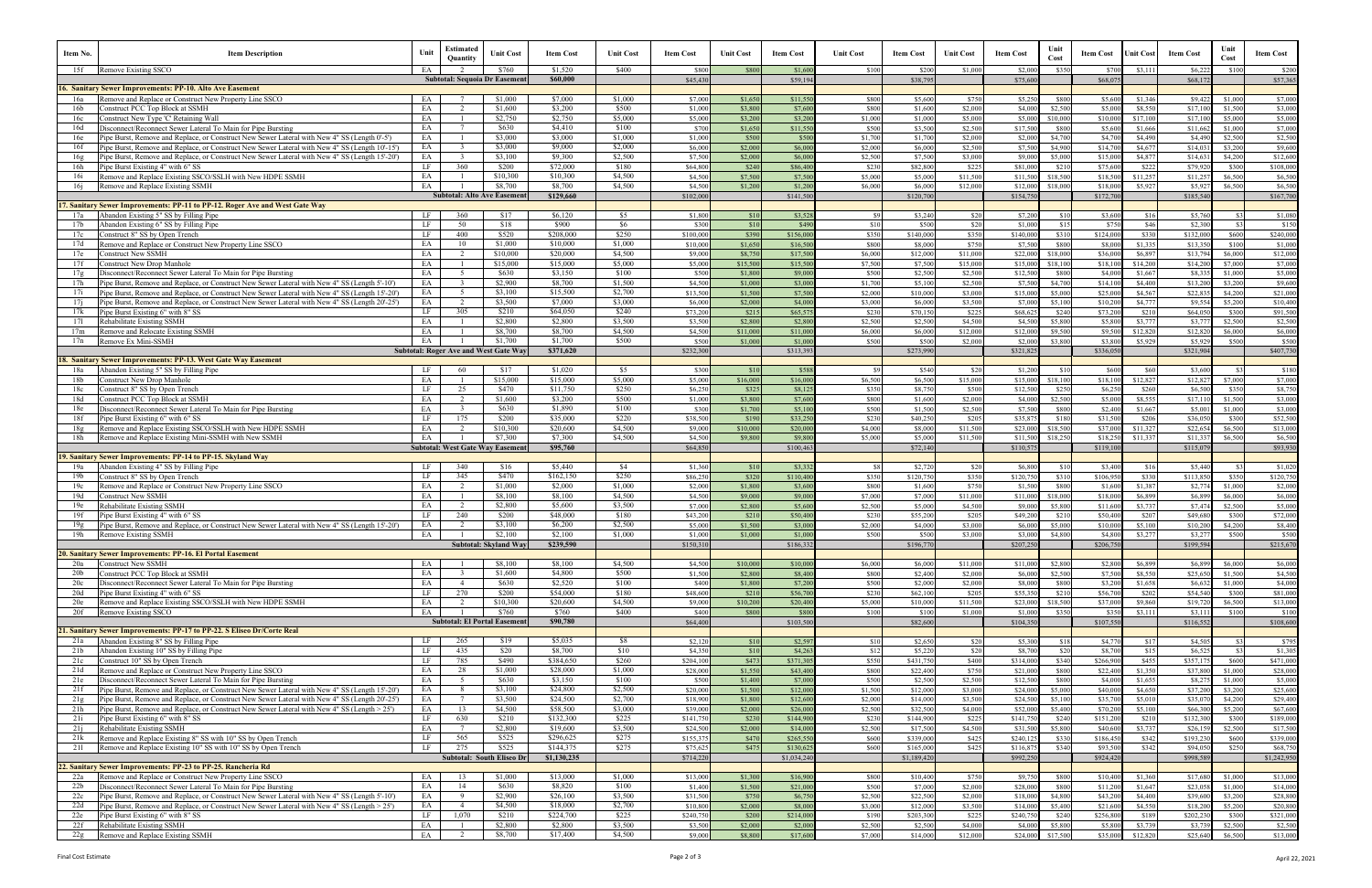| Item No.                                                                                       | <b>Item Description</b>                                                                                                                                                                          | Unit     | Estimated<br>Quantity                      | <b>Unit Cost</b>                              | Item Cost                | <b>Unit Cost</b>   | <b>Item Cost</b>     | <b>Unit Cost</b>    | <b>Item Cost</b>        | <b>Unit Cost</b>   | Item Cost                | <b>Unit Cost</b>     | <b>Item Cost</b>      | Unit<br>Cost        | <b>Item Cost</b>     | Jnit Cost            | <b>Item Cost</b>      | Unit<br>Cost       | <b>Item Cost</b>        |
|------------------------------------------------------------------------------------------------|--------------------------------------------------------------------------------------------------------------------------------------------------------------------------------------------------|----------|--------------------------------------------|-----------------------------------------------|--------------------------|--------------------|----------------------|---------------------|-------------------------|--------------------|--------------------------|----------------------|-----------------------|---------------------|----------------------|----------------------|-----------------------|--------------------|-------------------------|
| Remove Existing SSCO<br>15f                                                                    |                                                                                                                                                                                                  | EA       |                                            | \$760<br><b>Subtotal: Sequoia Dr Easement</b> | \$1,520<br>\$60,000      | \$400              | \$800<br>\$45,43     | \$800               | \$1,600<br>\$59,19      | \$100              | \$200<br>\$38,795        | \$1,000              | \$2,000<br>\$75,600   | \$350               | \$700<br>\$68,07     | \$3,111              | \$6,222<br>\$68,172   | \$100              | \$200<br>\$57,365       |
| <b>16. Sanitary Sewer Improvements: PP-10. Alto Ave Easement</b>                               |                                                                                                                                                                                                  |          |                                            |                                               |                          |                    |                      |                     |                         |                    |                          |                      |                       |                     |                      |                      |                       |                    |                         |
| 16a                                                                                            | Remove and Replace or Construct New Property Line SSCO                                                                                                                                           | EA       |                                            | \$1,000                                       | \$7,000                  | \$1,000            | \$7.00               | \$1,650             | \$11.55                 | \$800              | \$5,600                  | \$750                | \$5,250               | \$800               | \$5.60               | \$1,346              | \$9.42                | \$1,000            | \$7,000                 |
| 16b<br>Construct PCC Top Block at SSMH                                                         |                                                                                                                                                                                                  | EA       | 2                                          | \$1,600                                       | \$3,200                  | \$500              | \$1,000              | \$3,800             | \$7,600                 | \$800              | \$1,600                  | \$2,000              | \$4,000               | \$2,500             | \$5,00               | \$8,550              | \$17,100              | \$1,500            | \$3,000                 |
| Construct New Type 'C' Retaining Wall<br>16c<br>16d                                            | Disconnect/Reconnect Sewer Lateral To Main for Pipe Bursting                                                                                                                                     | EA<br>EA | $\overline{\phantom{0}}$<br>$\overline{7}$ | \$2,750<br>\$630                              | \$2,750<br>\$4,410       | \$5,000<br>\$100   | \$5,000<br>\$700     | \$3,200<br>\$1,650  | \$3,200<br>\$11,550     | \$1,000<br>\$500   | \$1,000<br>\$3,500       | \$5,000<br>\$2,500   | \$5,000<br>\$17,500   | \$10,000<br>\$800   | \$10,00<br>\$5,60    | \$17,100<br>\$1,666  | \$17,100<br>\$11,66   | \$5,000<br>\$1,000 | \$5,000<br>\$7,000      |
| 16e                                                                                            | Pipe Burst, Remove and Replace, or Construct New Sewer Lateral with New 4" SS (Length 0'-5')                                                                                                     | EA       |                                            | \$3,000                                       | \$3,000                  | \$1,000            | \$1,000              | \$500               | \$500                   | \$1,700            | \$1,700                  | \$2,000              | \$2,000               | \$4,700             | \$4.70               | \$4,490              | \$4,490               | \$2.500            | \$2,500                 |
| 16f                                                                                            | Pipe Burst, Remove and Replace, or Construct New Sewer Lateral with New 4" SS (Length 10'-15')                                                                                                   | EA       | $\overline{\mathbf{3}}$                    | \$3,000                                       | \$9,000                  | \$2,000            | \$6,000              | \$2,000             | \$6,000                 | \$2,000            | \$6,000                  | \$2,500              | \$7,500               | \$4,900             | \$14,70              | \$4,677              | \$14,03               | \$3,200            | \$9,600                 |
| 16g                                                                                            | Pipe Burst, Remove and Replace, or Construct New Sewer Lateral with New 4" SS (Length 15'-20")                                                                                                   | EA       | $\mathbf{3}$                               | \$3,100                                       | \$9,300                  | \$2,500            | \$7,500              | \$2,000             | \$6,000                 | \$2,500            | \$7,500                  | \$3,000              | \$9,000               | \$5,000             | \$15.00              | \$4,877              | \$14.63               | \$4,200            | \$12,600                |
| 16h<br>Pipe Burst Existing 4" with 6" SS<br>16i                                                | Remove and Replace Existing SSCO/SSLH with New HDPE SSMH                                                                                                                                         | LF<br>EA | 360                                        | \$200<br>\$10,300                             | \$72,000<br>\$10,300     | \$180<br>\$4,500   | \$64,800<br>\$4,500  | \$240<br>\$7,500    | \$86,400<br>\$7,500     | \$230<br>\$5.000   | \$82,800<br>\$5,000      | \$225<br>\$11,500    | \$81,000<br>\$11,50   | \$210<br>\$18,500   | \$75,600<br>\$18.50  | \$222<br>\$11,257    | \$79.92<br>\$11,25    | \$300<br>\$6,500   | \$108,000<br>\$6,500    |
| 16i<br>Remove and Replace Existing SSMH                                                        |                                                                                                                                                                                                  | EA       |                                            | \$8,700                                       | \$8,700                  | \$4,500            | \$4,500              | \$1,200             | \$1,200                 | \$6,000            | \$6,000                  | \$12,000             | \$12,000              | \$18,000            | \$18,00              | \$5,927              | \$5,92                | \$6,500            | \$6,500                 |
|                                                                                                |                                                                                                                                                                                                  |          |                                            | <b>Subtotal: Alto Ave Easement</b>            | \$129,660                |                    | \$102,00             |                     | \$141,500               |                    | \$120,700                |                      | \$154,75              |                     | \$172,70             |                      | \$185,540             |                    | \$167,700               |
|                                                                                                | 17. Sanitary Sewer Improvements: PP-11 to PP-12. Roger Ave and West Gate Way                                                                                                                     |          |                                            |                                               |                          |                    |                      |                     |                         |                    |                          |                      |                       |                     |                      |                      |                       |                    |                         |
| Abandon Existing 5" SS by Filling Pipe<br>17a<br>Abandon Existing 6" SS by Filling Pipe<br>17b |                                                                                                                                                                                                  | LF<br>LF | 360<br>50                                  | \$17<br>\$18                                  | \$6,120<br>\$900         | \$5<br>\$6         | \$1.80<br>\$300      | \$10<br>\$10        | \$3,528<br>\$490        | - \$9<br>\$10      | \$3,240<br>\$500         | \$20<br>\$20         | \$7,200<br>\$1,000    | \$10<br>\$15        | \$3,600<br>\$75      | \$16<br>\$46         | \$5,760<br>\$2,300    | -831<br>\$3        | \$1,080<br>\$150        |
| 17c<br>Construct 8" SS by Open Trench                                                          |                                                                                                                                                                                                  | LF       | 400                                        | \$520                                         | \$208,000                | \$250              | \$100,000            | \$390               | \$156,000               | \$350              | \$140,000                | \$350                | \$140,000             | \$310               | \$124,00             | \$330                | \$132,000             | \$600              | \$240,000               |
| 17d                                                                                            | Remove and Replace or Construct New Property Line SSCO                                                                                                                                           | EA       | 10                                         | \$1,000                                       | \$10,000                 | \$1,000            | \$10,000             | \$1,650             | \$16,50                 | \$800              | \$8,000                  | \$750                | \$7,500               | \$800               | \$8,00               | \$1,335              | \$13,350              | \$100              | \$1,000                 |
| 17e<br>Construct New SSMH                                                                      |                                                                                                                                                                                                  | EA       | 2                                          | \$10,000                                      | \$20,000                 | \$4,500            | \$9,000              | \$8,750             | \$17,50                 | \$6,000            | \$12,000                 | \$11,000             | \$22,000              | \$18,000            | \$36,00              | \$6,897              | \$13,79               | \$6,000            | \$12,000                |
| 17f<br>Construct New Drop Manhole                                                              |                                                                                                                                                                                                  | EA       |                                            | \$15,000<br>\$630                             | \$15,000<br>\$3,150      | \$5,000<br>\$100   | \$5,00               | \$15,500            | \$15,50<br>\$9,000      | \$7,500<br>\$500   | \$7,500<br>\$2,500       | \$15,000<br>\$2,500  | \$15,00               | \$18,10             | \$18,10<br>\$4,00    | \$14,200             | \$14,200<br>\$8,33    | \$7,000<br>\$1,000 | \$7,000                 |
| 17g<br>17h                                                                                     | Disconnect/Reconnect Sewer Lateral To Main for Pipe Bursting<br>Pipe Burst, Remove and Replace, or Construct New Sewer Lateral with New 4" SS (Length 5'-10')                                    | EA<br>EA | 5 <sup>5</sup><br>$\overline{\mathbf{3}}$  | \$2,900                                       | \$8,700                  | \$1,500            | \$500<br>\$4,500     | \$1,800<br>\$1,000  | \$3,000                 | \$1,700            | \$5,100                  | \$2,500              | \$12,500<br>\$7,500   | \$800<br>\$4,700    | \$14,10              | \$1,667<br>\$4,400   | \$13,20               | \$3,200            | \$5,000<br>\$9,600      |
| 17i                                                                                            | Pipe Burst, Remove and Replace, or Construct New Sewer Lateral with New 4" SS (Length 15'-20')                                                                                                   | EA       | $5^{\circ}$                                | \$3,100                                       | \$15,500                 | \$2,700            | \$13,500             | \$1,500             | \$7,500                 | \$2,000            | \$10,000                 | \$3,000              | \$15,00               | \$5,000             | \$25,00              | \$4,567              | \$22,83               | \$4,200            | \$21,000                |
| 17i                                                                                            | Pipe Burst, Remove and Replace, or Construct New Sewer Lateral with New 4" SS (Length 20'-25')                                                                                                   | EA       | 2                                          | \$3,500                                       | \$7,000                  | \$3,000            | \$6,000              | \$2,000             | \$4,000                 | \$3,000            | \$6,000                  | \$3,500              | \$7,000               | \$5,100             | \$10,20              | \$4,777              | \$9,554               | \$5,200            | \$10,400                |
| Pipe Burst Existing 6" with 8" SS<br>17k                                                       |                                                                                                                                                                                                  | LF       | 305                                        | \$210                                         | \$64,050                 | \$240              | \$73,200             | \$215               | \$65,57                 | \$230              | \$70,150                 | \$225                | \$68,62               | \$240               | \$73,20              | \$210                | \$64,050              | \$300              | \$91,500                |
| 171<br>Rehabilitate Existing SSMH<br>17m<br>Remove and Relocate Existing SSMH                  |                                                                                                                                                                                                  | EA<br>EA |                                            | \$2,800<br>\$8,700                            | \$2,800<br>\$8,700       | \$3,500<br>\$4.500 | \$3,500<br>\$4,500   | \$2,800<br>\$11,000 | \$2,800<br>\$11,000     | \$2,500<br>\$6.000 | \$2,500<br>\$6,000       | \$4,500<br>\$12,000  | \$4,500<br>\$12.00    | \$5,800<br>\$9,500  | \$5,800<br>\$9.50    | \$3,777<br>\$12,820  | \$3,77<br>\$12,820    | \$2,500<br>\$6,000 | \$2,500<br>\$6,000      |
| 17n<br>Remove Ex Mini-SSMH                                                                     |                                                                                                                                                                                                  | EA       |                                            | \$1,700                                       | \$1,700                  | \$500              | \$500                | \$1,000             | \$1,000                 | \$500              | \$500                    | \$2,000              | \$2,000               | \$3,800             | \$3,800              | \$5,929              | \$5,929               | \$500              | \$500                   |
|                                                                                                |                                                                                                                                                                                                  |          |                                            | <b>Subtotal: Roger Ave and West Gate Way</b>  | \$371,620                |                    | \$232,30             |                     | \$313,393               |                    | \$273,990                |                      | \$321,82              |                     | \$336,05             |                      | \$321,904             |                    | \$407,730               |
| 18. Sanitary Sewer Improvements: PP-13. West Gate Way Easement                                 |                                                                                                                                                                                                  |          |                                            |                                               |                          |                    |                      |                     |                         |                    |                          |                      |                       |                     |                      |                      |                       |                    |                         |
| Abandon Existing 5" SS by Filling Pipe<br>18a<br>18b                                           |                                                                                                                                                                                                  | LF<br>EA | -60                                        | \$17<br>\$15,000                              | \$1,020<br>\$15,000      | \$5<br>\$5,000     | \$300                | \$10                | \$588<br>\$16,00        | \$9<br>\$6,500     | \$540<br>\$6,500         | \$20                 | \$1,200               | \$10                | \$600                | \$60                 | \$3,600               | -831<br>\$7,000    | \$180                   |
| Construct New Drop Manhole<br>18c<br>Construct 8" SS by Open Trench                            |                                                                                                                                                                                                  | LF       | 25                                         | \$470                                         | \$11,750                 | \$250              | \$5,000<br>\$6,25    | \$16,000<br>\$325   | \$8,12                  | \$350              | \$8,750                  | \$15,000<br>\$500    | \$15,000<br>\$12,500  | \$18,100<br>\$250   | \$18,10<br>\$6,250   | \$12,827<br>\$260    | \$12,827<br>\$6,500   | \$350              | \$7,000<br>\$8,750      |
| 18d<br>Construct PCC Top Block at SSMH                                                         |                                                                                                                                                                                                  | ΕA       | 2                                          | \$1,600                                       | \$3,200                  | \$500              | \$1,000              | \$3,800             | \$7,600                 | \$800              | \$1,600                  | \$2,000              | \$4,000               | \$2,500             | \$5,000              | \$8,555              | \$17,110              | \$1,500            | \$3,000                 |
| 18e                                                                                            | Disconnect/Reconnect Sewer Lateral To Main for Pipe Bursting                                                                                                                                     | EA       |                                            | \$630                                         | \$1,890                  | \$100              | \$300                | \$1,700             | \$5,10                  | \$500              | \$1,500                  | \$2,500              | \$7,50                | \$800               | \$2,400              | \$1,667              | \$5,00                | \$1,000            | \$3,000                 |
| 18f<br>The Burst Existing 6" with 6" SS                                                        |                                                                                                                                                                                                  | LF       | 175                                        | \$200                                         | \$35,000                 | \$220              | \$38,500             | \$190               | \$33,25                 | \$230              | \$40,250                 | \$205                | \$35,87               | \$180               | \$31.50              | \$206                | \$36,050              | \$300              | \$52,500                |
| 18g<br>18h                                                                                     | Remove and Replace Existing SSCO/SSLH with New HDPE SSMH<br>Remove and Replace Existing Mini-SSMH with New SSMH                                                                                  | ΕA<br>ΕA | $\overline{\phantom{a}}$                   | \$10,300<br>\$7,300                           | \$20,600<br>\$7,300      | \$4,500<br>\$4,500 | \$9,000<br>\$4,500   | \$10,000<br>\$9,800 | \$20,00<br>\$9,800      | \$4,000<br>\$5,000 | \$8,000<br>\$5,000       | \$11,500<br>\$11,500 | \$23,000<br>\$11,50   | \$18,500<br>\$18,25 | \$37.00<br>\$18,25   | \$11,327<br>\$11,337 | \$22,65<br>\$11,33    | \$6,500<br>\$6,500 | \$13,000<br>\$6,500     |
|                                                                                                |                                                                                                                                                                                                  |          |                                            | <b>Subtotal: West Gate Way Easemen</b>        | \$95,760                 |                    | \$64,85              |                     | \$100,46                |                    | \$72,140                 |                      | \$110,57              |                     | \$119,10             |                      | \$115,07              |                    | \$93,930                |
| 19. Sanitary Sewer Improvements: PP-14 to PP-15. Skyland Way                                   |                                                                                                                                                                                                  |          |                                            |                                               |                          |                    |                      |                     |                         |                    |                          |                      |                       |                     |                      |                      |                       |                    |                         |
| Abandon Existing 4" SS by Filling Pipe<br>19a                                                  |                                                                                                                                                                                                  | LF       | 340                                        | \$16                                          | \$5,440                  | \$4                | \$1,360              | \$10                | \$3,33                  | - \$8              | \$2,720                  | \$20                 | \$6,800               | \$10                | \$3,400              | \$16                 | \$5,440               | \$3                | \$1,020                 |
| Construct 8" SS by Open Trench<br>19b                                                          |                                                                                                                                                                                                  | LF<br>EA | 345                                        | \$470<br>\$1,000                              | \$162,150<br>\$2,000     | \$250<br>\$1,000   | \$86,25<br>\$2,000   | \$320<br>\$1,800    | \$110,400<br>\$3,600    | \$350<br>\$800     | \$120,750<br>\$1,600     | \$350<br>\$750       | \$120,75<br>\$1,500   | \$310<br>\$800      | \$106,95<br>\$1,600  | \$330<br>\$1,387     | \$113,850<br>\$2,774  | \$350<br>\$1,000   | \$120,750<br>\$2,000    |
| 19c<br>19d<br>Construct New SSMH                                                               | Remove and Replace or Construct New Property Line SSCO                                                                                                                                           | EA       |                                            | \$8,100                                       | \$8,100                  | \$4,500            | \$4,500              | \$9,000             | \$9,00                  | \$7,000            | \$7,000                  | \$11,000             | \$11,000              | \$18,000            | \$18,00              | \$6,899              | \$6,899               | \$6,000            | \$6,000                 |
| 19e<br>Rehabilitate Existing SSMH                                                              |                                                                                                                                                                                                  | EA       | $\overline{2}$                             | \$2,800                                       | \$5,600                  | \$3,500            | \$7,000              | \$2,800             | \$5,600                 | \$2,500            | \$5,000                  | \$4,500              | \$9,00                | \$5,800             | \$11.60              | \$3,737              | \$7,47                | \$2,500            | \$5,000                 |
| 19f<br>ipe Burst Existing 4" with 6" SS                                                        |                                                                                                                                                                                                  | LF       | 240                                        | \$200                                         | \$48,000                 | \$180              | \$43,20              | \$210               | \$50,400                | \$230              | \$55,200                 | \$205                | \$49,20               | \$21                | \$50,40              | \$207                | \$49,680              | \$300              | \$72,000                |
| 19g                                                                                            | Pipe Burst, Remove and Replace, or Construct New Sewer Lateral with New 4" SS (Length 15'-20')                                                                                                   | ΕA       |                                            | \$3,100                                       | \$6,200                  | \$2,500            | \$5,000              | \$1,500             | \$3,000                 | \$2,000            | \$4,000                  | \$3,000              | \$6,000               | \$5,000             | \$10,00              | \$5,100              | \$10,200              | \$4,200            | \$8,400                 |
| 19h<br>Remove Existing SSMH                                                                    |                                                                                                                                                                                                  | EA       |                                            | \$2,100<br>Subtotal: Skyland Way              | \$2,100<br>\$239,590     | \$1,000            | \$1,000<br>\$150,310 | \$1,000             | \$1,000<br>\$186,332    | \$500              | \$500<br>\$196,770       | \$3.000              | \$3,000<br>\$207,250  | \$4,800             | \$4,800<br>\$206,750 | \$3,277              | \$3.27<br>\$199,594   | \$500              | \$500<br>\$215,670      |
| 20. Sanitary Sewer Improvements: PP-16. El Portal Easement                                     |                                                                                                                                                                                                  |          |                                            |                                               |                          |                    |                      |                     |                         |                    |                          |                      |                       |                     |                      |                      |                       |                    |                         |
| 20a<br><b>Construct New SSMH</b>                                                               |                                                                                                                                                                                                  | EA       |                                            | \$8,100                                       | \$8,100                  | \$4,500            | \$4,500              | \$10,000            | \$10,000                | \$6,000            | \$6,000                  | \$11,000             | \$11,000              | \$2,800             | \$2,800              | \$6,899              | \$6,899               | \$6,000            | \$6,000                 |
| 20 <sub>b</sub><br>Construct PCC Top Block at SSMH                                             |                                                                                                                                                                                                  | EA       | - 3                                        | \$1,600                                       | \$4,800                  | \$500              | \$1,500              | \$2,800             | \$8,400                 | \$800              | \$2,400                  | \$2,000              | \$6,000               | \$2,500             | \$7,500              | \$8,550              | \$25,650              | \$1,500            | \$4,500                 |
| 20c<br>20d<br>Pipe Burst Existing 4" with 6" SS                                                | Disconnect/Reconnect Sewer Lateral To Main for Pipe Bursting                                                                                                                                     | EA<br>LF | $\overline{4}$<br>270                      | \$630<br>\$200                                | \$2,520<br>\$54,000      | \$100<br>\$180     | \$400<br>\$48,600    | \$1,800<br>\$210    | \$7,200<br>\$56,700     | \$500<br>\$230     | \$2,000<br>\$62,100      | \$2,000<br>\$205     | \$8,000<br>\$55,35    | \$800<br>\$210      | \$3,200<br>\$56,70   | \$1,658<br>\$202     | \$6,632<br>\$54,540   | \$1,000<br>\$300   | \$4,000<br>\$81,000     |
| 20e                                                                                            | Remove and Replace Existing SSCO/SSLH with New HDPE SSMH                                                                                                                                         | EA       | $\overline{2}$                             | \$10,300                                      | \$20,600                 | \$4,500            | \$9,000              | \$10,200            | \$20,400                | \$5,000            | \$10,000                 | \$11,500             | \$23,000              | \$18,500            | \$37,00              | \$9,860              | \$19,72               | \$6,500            | \$13,000                |
| Remove Existing SSCO<br>20f                                                                    |                                                                                                                                                                                                  | EA       |                                            | \$760                                         | \$760                    | \$400              | \$400                | \$800               | \$800                   | \$100              | \$100                    | \$1,000              | \$1,00                | \$350               | \$35                 | \$3,111              | \$3,11                | \$100              | \$100                   |
|                                                                                                |                                                                                                                                                                                                  |          |                                            | <b>Subtotal: El Portal Easement</b>           | \$90,780                 |                    | \$64,400             |                     | \$103,500               |                    | \$82,600                 |                      | \$104,35              |                     | \$107,550            |                      | \$116,552             |                    | \$108,600               |
| Abandon Existing 8" SS by Filling Pipe<br>21a                                                  | 21. Sanitary Sewer Improvements: PP-17 to PP-22. S Eliseo Dr/Corte Real                                                                                                                          | LF       | 265                                        | \$19                                          | \$5,035                  | \$8                | \$2,120              | \$10                | \$2,597                 | \$10               | \$2,650                  | \$20                 | \$5,300               | \$18                | \$4,77               | \$17                 | \$4,505               | \$3                | \$795                   |
| Abandon Existing 10" SS by Filling Pipe<br>21b                                                 |                                                                                                                                                                                                  | LF       | 435                                        | \$20                                          | \$8,700                  | \$10               | \$4,350              | \$10                | \$4,263                 | \$12               | \$5,220                  | \$20                 | \$8,700               | \$20                | \$8,700              | \$15                 | \$6,525               | \$3                | \$1,305                 |
| Construct 10" SS by Open Trench<br>21c                                                         |                                                                                                                                                                                                  | LF       | 785                                        | \$490                                         | \$384,650                | \$260              | \$204,100            | \$473               | \$371,305               | \$550              | \$431,750                | \$400                | \$314,000             | \$340               | \$266,900            | \$455                | \$357,175             | \$600              | \$471,000               |
| 21d                                                                                            | Remove and Replace or Construct New Property Line SSCO                                                                                                                                           | EA       | 28                                         | \$1,000                                       | \$28,000                 | \$1,000            | \$28,00              | \$1,550             | \$43,400                | \$800              | \$22,400                 | \$750                | \$21,00               | \$800               | \$22,40              | \$1,350              | \$37,800              | \$1,000            | \$28,000                |
| 21e                                                                                            | Disconnect/Reconnect Sewer Lateral To Main for Pipe Bursting                                                                                                                                     | EA       | 5 <sup>5</sup>                             | \$630                                         | \$3,150                  | \$100              | \$500                | \$1,400             | \$7,000                 | \$500              | \$2,500                  | \$2,500              | \$12,500              | \$800               | \$4,00               | \$1,655              | \$8,27                | \$1,000            | \$5,000                 |
| 21f<br>21g                                                                                     | Pipe Burst, Remove and Replace, or Construct New Sewer Lateral with New 4" SS (Length 15'-20')<br>Pipe Burst, Remove and Replace, or Construct New Sewer Lateral with New 4" SS (Length 20'-25') | EA<br>EA | 8 <sup>8</sup><br>$\overline{7}$           | \$3,100<br>\$3,500                            | \$24,800<br>\$24,500     | \$2,500<br>\$2,700 | \$20,000<br>\$18,900 | \$1,500<br>\$1,800  | \$12,000<br>\$12,600    | \$1,500<br>\$2,000 | \$12,000<br>\$14,000     | \$3,000<br>\$3,500   | \$24,000<br>\$24,50   | \$5,000<br>\$5,100  | \$40,00<br>\$35,70   | \$4,650<br>\$5,010   | \$37,20<br>\$35,07    | \$3,200<br>\$4,200 | \$25,600<br>\$29,400    |
| 21h                                                                                            | Pipe Burst, Remove and Replace, or Construct New Sewer Lateral with New 4" SS (Length > 25')                                                                                                     | EA       | 13                                         | \$4,500                                       | \$58,500                 | \$3,000            | \$39,000             | \$2,000             | \$26,000                | \$2,500            | \$32,500                 | \$4,000              | \$52,000              | \$5,400             | \$70,20              | \$5,100              | \$66,300              | \$5,200            | \$67,600                |
| 21i<br>Pipe Burst Existing 6" with 8" SS                                                       |                                                                                                                                                                                                  | LF       | 630                                        | \$210                                         | \$132,300                | \$225              | \$141,75             | \$230               | \$144,900               | \$230              | \$144,900                | \$225                | \$141,750             | \$240               | \$151,20             | \$210                | \$132,300             | \$300              | \$189,000               |
| Rehabilitate Existing SSMH<br>21j                                                              |                                                                                                                                                                                                  | EA       |                                            | \$2,800                                       | \$19,600                 | \$3,500            | \$24,500             | \$2,000             | \$14,000                | \$2,500            | \$17,500                 | \$4,500              | \$31,500              | \$5,800             | \$40,60              | \$3,737              | \$26,159              | \$2,500            | \$17,500                |
| 21k                                                                                            | Remove and Replace Existing 8" SS with 10" SS by Open Trench                                                                                                                                     | LF<br>LF | 565                                        | \$525                                         | \$296,625                | \$275              | \$155,37             | \$470               | \$265,55                | \$600              | \$339,000                | \$425                | \$240,12              | \$330               | \$186,45             | \$342                | \$193,230             | \$600              | \$339,000               |
| 211                                                                                            | Remove and Replace Existing 10" SS with 10" SS by Open Trench                                                                                                                                    |          | 275                                        | \$525<br><b>Subtotal: South Eliseo Dr</b>     | \$144,375<br>\$1,130,235 | \$275              | \$75,625<br>\$714,22 | \$475               | \$130,625<br>\$1,034,24 | \$600              | \$165,000<br>\$1,189,420 | \$425                | \$116,87<br>\$992,250 | \$340               | \$93,50<br>\$924,42  | \$342                | \$94,050<br>\$998,589 | \$250              | \$68,750<br>\$1,242,950 |
| 22. Sanitary Sewer Improvements: PP-23 to PP-25. Rancheria Rd                                  |                                                                                                                                                                                                  |          |                                            |                                               |                          |                    |                      |                     |                         |                    |                          |                      |                       |                     |                      |                      |                       |                    |                         |
| 22a                                                                                            | Remove and Replace or Construct New Property Line SSCO                                                                                                                                           | EA       | 13                                         | \$1,000                                       | \$13,000                 | \$1,000            | \$13,00              | \$1,300             | \$16,900                | \$800              | \$10,400                 | \$750                | \$9,750               | \$800               | \$10,400             | \$1,360              | \$17,680              | \$1,000            | \$13,000                |
| 22b                                                                                            | Disconnect/Reconnect Sewer Lateral To Main for Pipe Bursting                                                                                                                                     | EA       | 14                                         | \$630                                         | \$8,820                  | \$100              | \$1,400              | \$1,500             | \$21,000                | \$500              | \$7,000                  | \$2,000              | \$28,000              | \$800               | \$11,200             | \$1,647              | \$23,058              | \$1,000            | \$14,000                |
| 22c<br>22d                                                                                     | Pipe Burst, Remove and Replace, or Construct New Sewer Lateral with New 4" SS (Length 5'-10')<br>Pipe Burst, Remove and Replace, or Construct New Sewer Lateral with New 4" SS (Length > 25')    | EA<br>EA | 9 <sup>°</sup><br>$\overline{4}$           | \$2,900<br>\$4,500                            | \$26,100<br>\$18,000     | \$3,500<br>\$2,700 | \$31,500<br>\$10,800 | \$750<br>\$2,000    | \$6,750<br>\$8,000      | \$2,500<br>\$3,000 | \$22,500<br>\$12,000     | \$2,000<br>\$3,500   | \$18,000              | \$4,800             | \$43,20              | \$4,400              | \$39,600              | \$3,200<br>\$5,200 | \$28,800<br>\$20,800    |
| 22e<br>Pipe Burst Existing 6" with 8" SS                                                       |                                                                                                                                                                                                  | LF       | 1,070                                      | \$210                                         | \$224,700                | \$225              | \$240,75             | \$200               | \$214,000               | \$190              | \$203,300                | \$225                | \$14,000<br>\$240,75  | \$5,400<br>\$240    | \$21,600<br>\$256,80 | \$4,550<br>\$189     | \$18,200<br>\$202,230 | \$300              | \$321,000               |
| Rehabilitate Existing SSMH<br>22f                                                              |                                                                                                                                                                                                  | EA       |                                            | \$2,800                                       | \$2,800                  | \$3,500            | \$3,500              | \$2,000             | \$2,000                 | \$2,500            | \$2,500                  | \$4,000              | \$4,000               | \$5,800             | \$5,800              | \$3,739              | \$3,739               | \$2,500            | \$2,500                 |
| Remove and Replace Existing SSMH<br>22g                                                        |                                                                                                                                                                                                  | EA       | 2                                          | \$8,700                                       | \$17,400                 | \$4,500            | \$9,000              | \$8,800             | \$17,600                | \$7,000            | \$14,000                 | \$12,000             | \$24,000              | \$17,500            | \$35,000             | \$12,820             | \$25,640              | \$6,500            | \$13,000                |